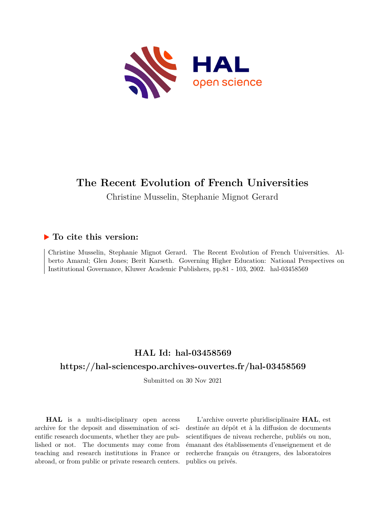

## **The Recent Evolution of French Universities**

Christine Musselin, Stephanie Mignot Gerard

## **To cite this version:**

Christine Musselin, Stephanie Mignot Gerard. The Recent Evolution of French Universities. Alberto Amaral; Glen Jones; Berit Karseth. Governing Higher Education: National Perspectives on Institutional Governance, Kluwer Academic Publishers, pp.81 - 103, 2002. hal-03458569

## **HAL Id: hal-03458569**

## **<https://hal-sciencespo.archives-ouvertes.fr/hal-03458569>**

Submitted on 30 Nov 2021

**HAL** is a multi-disciplinary open access archive for the deposit and dissemination of scientific research documents, whether they are published or not. The documents may come from teaching and research institutions in France or abroad, or from public or private research centers.

L'archive ouverte pluridisciplinaire **HAL**, est destinée au dépôt et à la diffusion de documents scientifiques de niveau recherche, publiés ou non, émanant des établissements d'enseignement et de recherche français ou étrangers, des laboratoires publics ou privés.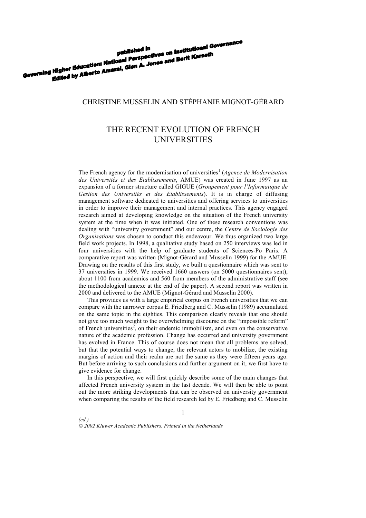# published in<br>published in<br>Governing Higher Education: National Perspectives on Institutional Governing<br>Edited by Alberto Amaral, Gien A. Jones and Berit Karseth published in<br>Higher Education: National Perspectives on Institutional<br>Edited by Alberto Amaral, Glen A. Jones and Berit Karseth

### CHRISTINE MUSSELIN AND STÉPHANIE MIGNOT-GÉRARD

## THE RECENT EVOLUTION OF FRENCH UNIVERSITIES

The French agency for the modernisation of universities<sup>1</sup> (*Agence de Modernisation des Universités et des Etablissements*, AMUE) was created in June 1997 as an expansion of a former structure called GIGUE (*Groupement pour l'Informatique de Gestion des Universités et des Etablissements*). It is in charge of diffusing management software dedicated to universities and offering services to universities in order to improve their management and internal practices. This agency engaged research aimed at developing knowledge on the situation of the French university system at the time when it was initiated. One of these research conventions was dealing with "university government" and our centre, the *Centre de Sociologie des Organisations* was chosen to conduct this endeavour. We thus organized two large field work projects. In 1998, a qualitative study based on 250 interviews was led in four universities with the help of graduate students of Sciences-Po Paris. A comparative report was written (Mignot-Gérard and Musselin 1999) for the AMUE. Drawing on the results of this first study, we built a questionnaire which was sent to 37 universities in 1999. We received 1660 answers (on 5000 questionnaires sent), about 1100 from academics and 560 from members of the administrative staff (see the methodological annexe at the end of the paper). A second report was written in 2000 and delivered to the AMUE (Mignot-Gérard and Musselin 2000).

This provides us with a large empirical corpus on French universities that we can compare with the narrower corpus E. Friedberg and C. Musselin (1989) accumulated on the same topic in the eighties. This comparison clearly reveals that one should not give too much weight to the overwhelming discourse on the "impossible reform" of French universities<sup>2</sup>, on their endemic immobilism, and even on the conservative nature of the academic profession. Change has occurred and university government has evolved in France. This of course does not mean that all problems are solved, but that the potential ways to change, the relevant actors to mobilize, the existing margins of action and their realm are not the same as they were fifteen years ago. But before arriving to such conclusions and further argument on it, we first have to give evidence for change.

In this perspective, we will first quickly describe some of the main changes that affected French university system in the last decade. We will then be able to point out the more striking developments that can be observed on university government when comparing the results of the field research led by E. Friedberg and C. Musselin

*(ed.) © 2002 Kluwer Academic Publishers. Printed in the Netherlands*

1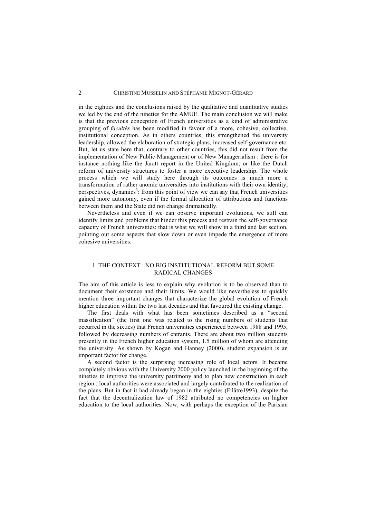in the eighties and the conclusions raised by the qualitative and quantitative studies we led by the end of the nineties for the AMUE. The main conclusion we will make is that the previous conception of French universities as a kind of administrative grouping of *facultés* has been modified in favour of a more, cohesive, collective, institutional conception. As in others countries, this strengthened the university leadership, allowed the elaboration of strategic plans, increased self-governance etc. But, let us state here that, contrary to other countries, this did not result from the implementation of New Public Management or of New Managerialism : there is for instance nothing like the Jaratt report in the United Kingdom, or like the Dutch reform of university structures to foster a more executive leadership. The whole process which we will study here through its outcomes is much more a transformation of rather anomic universities into institutions with their own identity, perspectives, dynamics<sup>3</sup>: from this point of view we can say that French universities gained more autonomy, even if the formal allocation of attributions and functions between them and the State did not change dramatically.

Nevertheless and even if we can observe important evolutions, we still can identify limits and problems that hinder this process and restrain the self-governance capacity of French universities: that is what we will show in a third and last section, pointing out some aspects that slow down or even impede the emergence of more cohesive universities.

#### 1. THE CONTEXT : NO BIG INSTITUTIONAL REFORM BUT SOME RADICAL CHANGES

The aim of this article is less to explain why evolution is to be observed than to document their existence and their limits. We would like nevertheless to quickly mention three important changes that characterize the global evolution of French higher education within the two last decades and that favoured the existing change.

The first deals with what has been sometimes described as a "second massification" (the first one was related to the rising numbers of students that occurred in the sixties) that French universities experienced between 1988 and 1995, followed by decreasing numbers of entrants. There are about two million students presently in the French higher education system, 1.5 million of whom are attending the university. As shown by Kogan and Hanney (2000), student expansion is an important factor for change.

A second factor is the surprising increasing role of local actors. It became completely obvious with the University 2000 policy launched in the beginning of the nineties to improve the university patrimony and to plan new construction in each region : local authorities were associated and largely contributed to the realization of the plans. But in fact it had already began in the eighties (Filâtre1993), despite the fact that the decentralization law of 1982 attributed no competencies on higher education to the local authorities. Now, with perhaps the exception of the Parisian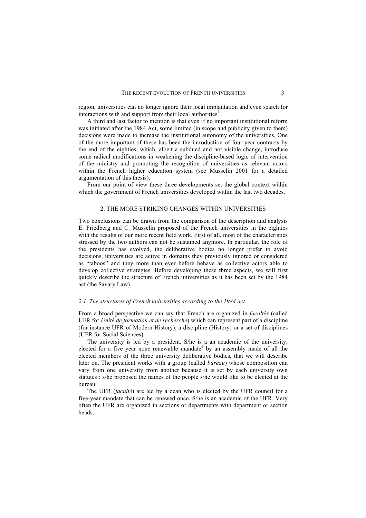region, universities can no longer ignore their local implantation and even search for interactions with and support from their local authorities<sup>4</sup>.

A third and last factor to mention is that even if no important institutional reform was initiated after the 1984 Act, some limited (in scope and publicity given to them) decisions were made to increase the institutional autonomy of the universities. One of the more important of these has been the introduction of four-year contracts by the end of the eighties, which, albeit a subdued and not visible change, introduce some radical modifications in weakening the discipline-based logic of intervention of the ministry and promoting the recognition of universities as relevant actors within the French higher education system (see Musselin 2001 for a detailed argumentation of this thesis).

From our point of view these three developments set the global context within which the government of French universities developed within the last two decades.

#### 2. THE MORE STRIKING CHANGES WITHIN UNIVERSITIES

Two conclusions can be drawn from the comparison of the description and analysis E. Friedberg and C. Musselin proposed of the French universities in the eighties with the results of our more recent field work. First of all, most of the characteristics stressed by the two authors can not be sustained anymore. In particular, the role of the presidents has evolved, the deliberative bodies no longer prefer to avoid decisions, universities are active in domains they previously ignored or considered as "taboos" and they more than ever before behave as collective actors able to develop collective strategies. Before developing these three aspects, we will first quickly describe the structure of French universities as it has been set by the 1984 act (the Savary Law).

#### *2.1. The structures of French universities according to the 1984 act*

From a broad perspective we can say that French are organized in *facultés* (called UFR for *Unité de formation et de recherche*) which can represent part of a discipline (for instance UFR of Modern History), a discipline (History) or a set of disciplines (UFR for Social Sciences).

The university is led by a president. S/he is a an academic of the university, elected for a five year none renewable mandate<sup>5</sup> by an assembly made of all the elected members of the three university deliberative bodies, that we will describe later on. The president works with a group (called *bureau*) whose composition can vary from one university from another because it is set by each university own statutes : s/he proposed the names of the people s/he would like to be elected at the bureau.

The UFR (*faculté*) are led by a dean who is elected by the UFR council for a five-year mandate that can be renewed once. S/he is an academic of the UFR. Very often the UFR are organized in sections or departments with department or section heads.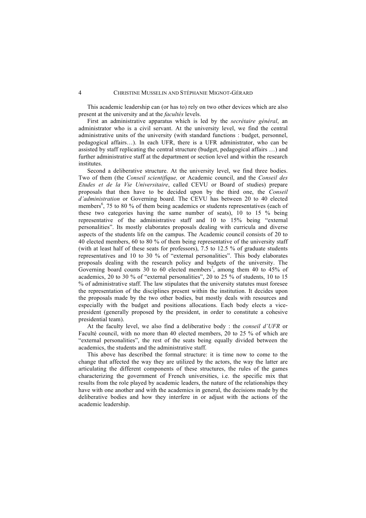This academic leadership can (or has to) rely on two other devices which are also present at the university and at the *facultés* levels.

First an administrative apparatus which is led by the *secrétaire général*, an administrator who is a civil servant. At the university level, we find the central administrative units of the university (with standard functions : budget, personnel, pedagogical affairs…). In each UFR, there is a UFR administrator, who can be assisted by staff replicating the central structure (budget, pedagogical affairs …) and further administrative staff at the department or section level and within the research institutes.

Second a deliberative structure. At the university level, we find three bodies. Two of them (the *Conseil scientifique,* or Academic council, and the *Conseil des Etudes et de la Vie Universitaire*, called CEVU or Board of studies) prepare proposals that then have to be decided upon by the third one, the *Conseil d'administration* or Governing board. The CEVU has between 20 to 40 elected members<sup>6</sup>, 75 to 80 % of them being academics or students representatives (each of these two categories having the same number of seats), 10 to 15 % being representative of the administrative staff and 10 to 15% being "external personalities". Its mostly elaborates proposals dealing with curricula and diverse aspects of the students life on the campus. The Academic council consists of 20 to 40 elected members, 60 to 80 % of them being representative of the university staff (with at least half of these seats for professors), 7.5 to 12.5 % of graduate students representatives and 10 to 30 % of "external personalities". This body elaborates proposals dealing with the research policy and budgets of the university. The Governing board counts 30 to 60 elected members<sup>7</sup>, among them 40 to 45% of academics, 20 to 30 % of "external personalities", 20 to 25 % of students, 10 to 15 % of administrative staff. The law stipulates that the university statutes must foresee the representation of the disciplines present within the institution. It decides upon the proposals made by the two other bodies, but mostly deals with resources and especially with the budget and positions allocations. Each body elects a vicepresident (generally proposed by the president, in order to constitute a cohesive presidential team).

At the faculty level, we also find a deliberative body : the *conseil d'UFR* or Faculté council, with no more than 40 elected members, 20 to 25 % of which are "external personalities", the rest of the seats being equally divided between the academics, the students and the administrative staff.

This above has described the formal structure: it is time now to come to the change that affected the way they are utilized by the actors, the way the latter are articulating the different components of these structures, the rules of the games characterizing the government of French universities, i.e. the specific mix that results from the role played by academic leaders, the nature of the relationships they have with one another and with the academics in general, the decisions made by the deliberative bodies and how they interfere in or adjust with the actions of the academic leadership.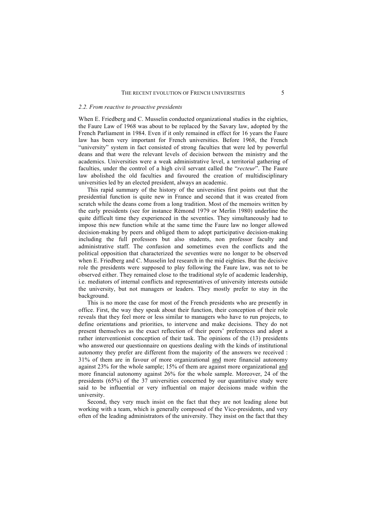#### *2.2. From reactive to proactive presidents*

When E. Friedberg and C. Musselin conducted organizational studies in the eighties, the Faure Law of 1968 was about to be replaced by the Savary law, adopted by the French Parliament in 1984. Even if it only remained in effect for 16 years the Faure law has been very important for French universities. Before 1968, the French "university" system in fact consisted of strong faculties that were led by powerful deans and that were the relevant levels of decision between the ministry and the academics. Universities were a weak administrative level, a territorial gathering of faculties, under the control of a high civil servant called the "*recteur*". The Faure law abolished the old faculties and favoured the creation of multidisciplinary universities led by an elected president, always an academic.

This rapid summary of the history of the universities first points out that the presidential function is quite new in France and second that it was created from scratch while the deans come from a long tradition. Most of the memoirs written by the early presidents (see for instance Rémond 1979 or Merlin 1980) underline the quite difficult time they experienced in the seventies. They simultaneously had to impose this new function while at the same time the Faure law no longer allowed decision-making by peers and obliged them to adopt participative decision-making including the full professors but also students, non professor faculty and administrative staff. The confusion and sometimes even the conflicts and the political opposition that characterized the seventies were no longer to be observed when E. Friedberg and C. Musselin led research in the mid eighties. But the decisive role the presidents were supposed to play following the Faure law, was not to be observed either. They remained close to the traditional style of academic leadership, i.e. mediators of internal conflicts and representatives of university interests outside the university, but not managers or leaders. They mostly prefer to stay in the background.

This is no more the case for most of the French presidents who are presently in office. First, the way they speak about their function, their conception of their role reveals that they feel more or less similar to managers who have to run projects, to define orientations and priorities, to intervene and make decisions. They do not present themselves as the exact reflection of their peers' preferences and adopt a rather interventionist conception of their task. The opinions of the (13) presidents who answered our questionnaire on questions dealing with the kinds of institutional autonomy they prefer are different from the majority of the answers we received : 31% of them are in favour of more organizational and more financial autonomy against 23% for the whole sample; 15% of them are against more organizational and more financial autonomy against 26% for the whole sample. Moreover, 24 of the presidents (65%) of the 37 universities concerned by our quantitative study were said to be influential or very influential on major decisions made within the university.

Second, they very much insist on the fact that they are not leading alone but working with a team, which is generally composed of the Vice-presidents, and very often of the leading administrators of the university. They insist on the fact that they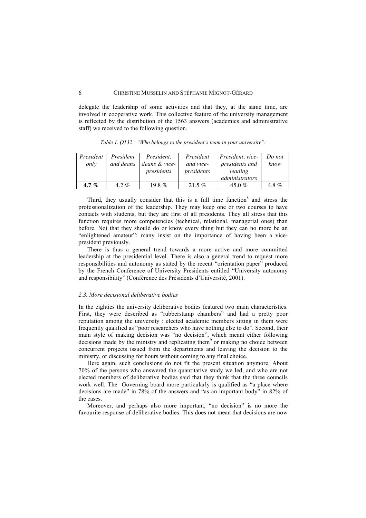delegate the leadership of some activities and that they, at the same time, are involved in cooperative work. This collective feature of the university management is reflected by the distribution of the 1563 answers (academics and administrative staff) we received to the following question.

| President<br>only | President<br>and deans | President,<br>deans & vice-<br>presidents | President<br>and vice-<br>presidents | President, vice-<br>presidents and<br>leading<br>administrators | Do not<br>know |
|-------------------|------------------------|-------------------------------------------|--------------------------------------|-----------------------------------------------------------------|----------------|
| 4.7 %             | $4.2\%$                | 19.8 $%$                                  | $21.5\%$                             | 45.0 %                                                          | 4.8 $%$        |

*Table 1. Q132 : "Who belongs to the president's team in your university":* 

Third, they usually consider that this is a full time function  $\delta$  and stress the professionalization of the leadership. They may keep one or two courses to have contacts with students, but they are first of all presidents. They all stress that this function requires more competencies (technical, relational, managerial ones) than before. Not that they should do or know every thing but they can no more be an "enlightened amateur": many insist on the importance of having been a vicepresident previously.

There is thus a general trend towards a more active and more committed leadership at the presidential level. There is also a general trend to request more responsibilities and autonomy as stated by the recent "orientation paper" produced by the French Conference of University Presidents entitled "University autonomy and responsibility" (Conférence des Présidents d'Université, 2001).

#### *2.3. More decisional deliberative bodies*

In the eighties the university deliberative bodies featured two main characteristics. First, they were described as "rubberstamp chambers" and had a pretty poor reputation among the university : elected academic members sitting in them were frequently qualified as "poor researchers who have nothing else to do". Second, their main style of making decision was "no decision", which meant either following decisions made by the ministry and replicating them $9$  or making no choice between concurrent projects issued from the departments and leaving the decision to the ministry, or discussing for hours without coming to any final choice.

Here again, such conclusions do not fit the present situation anymore. About 70% of the persons who answered the quantitative study we led, and who are not elected members of deliberative bodies said that they think that the three councils work well. The Governing board more particularly is qualified as "a place where decisions are made" in 78% of the answers and "as an important body" in 82% of the cases.

Moreover, and perhaps also more important, "no decision" is no more the favourite response of deliberative bodies. This does not mean that decisions are now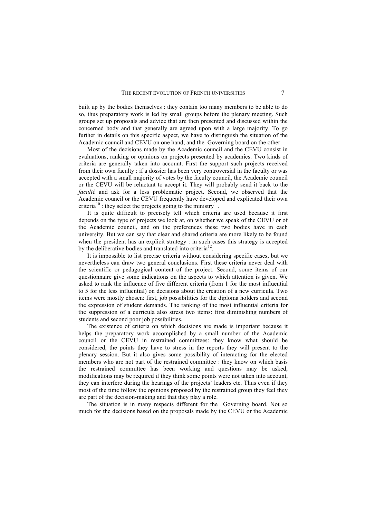built up by the bodies themselves : they contain too many members to be able to do so, thus preparatory work is led by small groups before the plenary meeting. Such groups set up proposals and advice that are then presented and discussed within the concerned body and that generally are agreed upon with a large majority. To go further in details on this specific aspect, we have to distinguish the situation of the Academic council and CEVU on one hand, and the Governing board on the other.

Most of the decisions made by the Academic council and the CEVU consist in evaluations, ranking or opinions on projects presented by academics. Two kinds of criteria are generally taken into account. First the support such projects received from their own faculty : if a dossier has been very controversial in the faculty or was accepted with a small majority of votes by the faculty council, the Academic council or the CEVU will be reluctant to accept it. They will probably send it back to the *faculté* and ask for a less problematic project. Second, we observed that the Academic council or the CEVU frequently have developed and explicated their own criteria<sup>10</sup>: they select the projects going to the ministry<sup>11</sup>.

It is quite difficult to precisely tell which criteria are used because it first depends on the type of projects we look at, on whether we speak of the CEVU or of the Academic council, and on the preferences these two bodies have in each university. But we can say that clear and shared criteria are more likely to be found when the president has an explicit strategy : in such cases this strategy is accepted by the deliberative bodies and translated into criteria<sup>12</sup>

It is impossible to list precise criteria without considering specific cases, but we nevertheless can draw two general conclusions. First these criteria never deal with the scientific or pedagogical content of the project. Second, some items of our questionnaire give some indications on the aspects to which attention is given. We asked to rank the influence of five different criteria (from 1 for the most influential to 5 for the less influential) on decisions about the creation of a new curricula. Two items were mostly chosen: first, job possibilities for the diploma holders and second the expression of student demands. The ranking of the most influential criteria for the suppression of a curricula also stress two items: first diminishing numbers of students and second poor job possibilities.

The existence of criteria on which decisions are made is important because it helps the preparatory work accomplished by a small number of the Academic council or the CEVU in restrained committees: they know what should be considered, the points they have to stress in the reports they will present to the plenary session. But it also gives some possibility of interacting for the elected members who are not part of the restrained committee : they know on which basis the restrained committee has been working and questions may be asked, modifications may be required if they think some points were not taken into account, they can interfere during the hearings of the projects' leaders etc. Thus even if they most of the time follow the opinions proposed by the restrained group they feel they are part of the decision-making and that they play a role.

The situation is in many respects different for the Governing board. Not so much for the decisions based on the proposals made by the CEVU or the Academic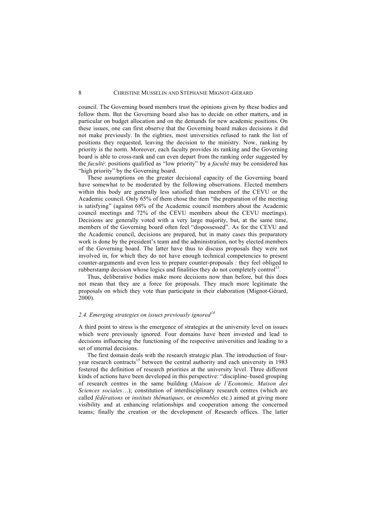council. The Governing board members trust the opinions given by these bodies and follow them. But the Governing board also has to decide on other matters, and in particular on budget allocation and on the demands for new academic positions. On these issues, one can first observe that the Governing board makes decisions it did not make previously. In the eighties, most universities refused to rank the list of positions they requested, leaving the decision to the ministry. Now, ranking by priority is the norm. Moreover, each faculty provides its ranking and the Governing board is able to cross-rank and can even depart from the ranking order suggested by the *faculté*: positions qualified as "low priority" by a *faculté* may be considered has "high priority" by the Governing board.

These assumptions on the greater decisional capacity of the Governing board have somewhat to be moderated by the following observations. Elected members within this body are generally less satisfied than members of the CEVU or the Academic council. Only 65% of them chose the item "the preparation of the meeting is satisfying" (against 68% of the Academic council members about the Academic council meetings and 72% of the CEVU members about the CEVU meetings). Decisions are generally voted with a very large majority, but, at the same time, members of the Governing board often feel "dispossessed". As for the CEVU and the Academic council, decisions are prepared, but in many cases this preparatory work is done by the president's team and the administration, not by elected members of the Governing board. The latter have thus to discuss proposals they were not involved in, for which they do not have enough technical competencies to present counter-arguments and even less to prepare counter-proposals : they feel obliged to rubberstamp decision whose logics and finalities they do not completely control<sup>13</sup>

Thus, deliberative bodies make more decisions now than before, but this does not mean that they are a force for proposals. They much more legitimate the proposals on which they vote than participate in their elaboration (Mignot-Gérard, 2000).

#### *2.4. Emerging strategies on issues previously ignored<sup>14</sup>*

A third point to stress is the emergence of strategies at the university level on issues which were previously ignored. Four domains have been invested and lead to decisions influencing the functioning of the respective universities and leading to a set of internal decisions.

The first domain deals with the research strategic plan. The introduction of fouryear research contracts<sup>15</sup> between the central authority and each university in 1983 fostered the definition of research priorities at the university level. Three different kinds of actions have been developed in this perspective: "discipline–based grouping of research centres in the same building (*Maison de l'Economie, Maison des Sciences sociales*…); constitution of interdisciplinary research centres (which are called *fédérations* or *instituts thématiques*, or *ensembles* etc.) aimed at giving more visibility and at enhancing relationships and cooperation among the concerned teams; finally the creation or the development of Research offices. The latter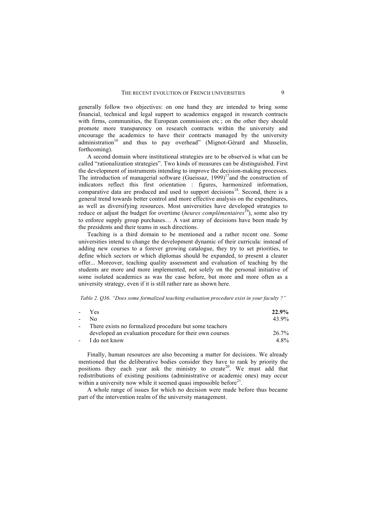generally follow two objectives: on one hand they are intended to bring some financial, technical and legal support to academics engaged in research contracts with firms, communities, the European commission etc ; on the other they should promote more transparency on research contracts within the university and encourage the academics to have their contracts managed by the university administration<sup>16</sup> and thus to pay overhead" (Mignot-Gérard and Musselin, forthcoming).

A second domain where institutional strategies are to be observed is what can be called "rationalization strategies". Two kinds of measures can be distinguished. First the development of instruments intending to improve the decision-making processes. The introduction of managerial software (Gueissaz,  $1999$ )<sup>17</sup> and the construction of indicators reflect this first orientation : figures, harmonized information, comparative data are produced and used to support decisions<sup>18</sup>. Second, there is a general trend towards better control and more effective analysis on the expenditures, as well as diversifying resources. Most universities have developed strategies to reduce or adjust the budget for overtime (*heures complémentaires*<sup>19</sup>), some also try to enforce supply group purchases… A vast array of decisions have been made by the presidents and their teams in such directions.

Teaching is a third domain to be mentioned and a rather recent one. Some universities intend to change the development dynamic of their curricula: instead of adding new courses to a forever growing catalogue, they try to set priorities, to define which sectors or which diplomas should be expanded, to present a clearer offer... Moreover, teaching quality assessment and evaluation of teaching by the students are more and more implemented, not solely on the personal initiative of some isolated academics as was the case before, but more and more often as a university strategy, even if it is still rather rare as shown here.

*Table 2. Q36. "Does some formalized teaching evaluation procedure exist in your faculty ?"*

|                          | - Yes                                                   | 22.9% |
|--------------------------|---------------------------------------------------------|-------|
|                          | - No                                                    | 43.9% |
| $\overline{\phantom{0}}$ | There exists no formalized procedure but some teachers  |       |
|                          | developed an evaluation procedure for their own courses | 26.7% |
|                          | - I do not know                                         | 4.8%  |

Finally, human resources are also becoming a matter for decisions. We already mentioned that the deliberative bodies consider they have to rank by priority the positions they each year ask the ministry to create<sup>20</sup>. We must add that redistributions of existing positions (administrative or academic ones) may occur within a university now while it seemed quasi impossible before $2<sup>1</sup>$ .

A whole range of issues for which no decision were made before thus became part of the intervention realm of the university management.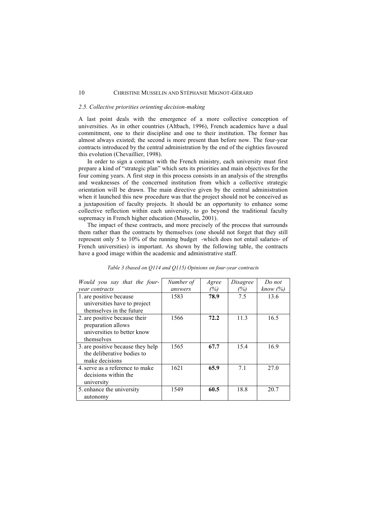#### *2.5. Collective priorities orienting decision-making*

A last point deals with the emergence of a more collective conception of universities. As in other countries (Altbach, 1996), French academics have a dual commitment, one to their discipline and one to their institution. The former has almost always existed; the second is more present than before now. The four-year contracts introduced by the central administration by the end of the eighties favoured this evolution (Chevaillier, 1998).

In order to sign a contract with the French ministry, each university must first prepare a kind of "strategic plan" which sets its priorities and main objectives for the four coming years. A first step in this process consists in an analysis of the strengths and weaknesses of the concerned institution from which a collective strategic orientation will be drawn. The main directive given by the central administration when it launched this new procedure was that the project should not be conceived as a juxtaposition of faculty projects. It should be an opportunity to enhance some collective reflection within each university, to go beyond the traditional faculty supremacy in French higher education (Musselin, 2001).

The impact of these contracts, and more precisely of the process that surrounds them rather than the contracts by themselves (one should not forget that they still represent only 5 to 10% of the running budget -which does not entail salaries- of French universities) is important. As shown by the following table, the contracts have a good image within the academic and administrative staff.

| Would you say that the four-      | Number of | Agree | Disagree | Do not      |
|-----------------------------------|-----------|-------|----------|-------------|
| <i>vear contracts</i>             | answers   | (%)   | (%)      | know $(\%)$ |
| 1. are positive because           | 1583      | 78.9  | 7.5      | 13.6        |
| universities have to project      |           |       |          |             |
| themselves in the future          |           |       |          |             |
| 2. are positive because their     | 1566      | 72.2  | 11.3     | 16.5        |
| preparation allows                |           |       |          |             |
| universities to better know       |           |       |          |             |
| themselves                        |           |       |          |             |
| 3. are positive because they help | 1565      | 67.7  | 15.4     | 16.9        |
| the deliberative bodies to        |           |       |          |             |
| make decisions                    |           |       |          |             |
| 4. serve as a reference to make   | 1621      | 65.9  | 7.1      | 27.0        |
| decisions within the              |           |       |          |             |
| university                        |           |       |          |             |
| 5. enhance the university         | 1549      | 60.5  | 18.8     | 20.7        |
| autonomy                          |           |       |          |             |

| Table 3 (based on Q114 and Q115) Opinions on four-year contracts |  |
|------------------------------------------------------------------|--|
|------------------------------------------------------------------|--|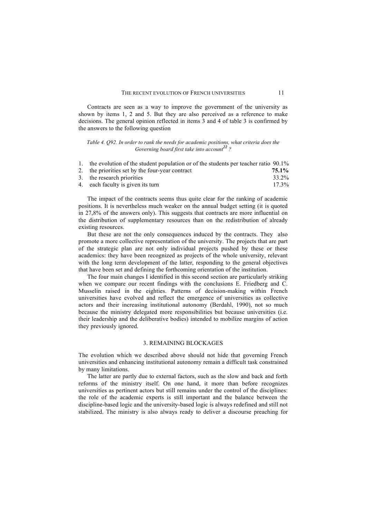#### THE RECENT EVOLUTION OF FRENCH UNIVERSITIES 11

Contracts are seen as a way to improve the government of the university as shown by items 1, 2 and 5. But they are also perceived as a reference to make decisions. The general opinion reflected in items 3 and 4 of table 3 is confirmed by the answers to the following question

*Table 4. Q92. In order to rank the needs for academic positions, what criteria does the Governing board first take into account*<sup>22</sup>

| 1. the evolution of the student population or of the students per teacher ratio 90.1% |          |
|---------------------------------------------------------------------------------------|----------|
| 2. the priorities set by the four-year contract                                       | 75.1%    |
| 3. the research priorities                                                            | 33.2%    |
| 4. each faculty is given its turn                                                     | $17.3\%$ |

The impact of the contracts seems thus quite clear for the ranking of academic positions. It is nevertheless much weaker on the annual budget setting (it is quoted in 27,8% of the answers only). This suggests that contracts are more influential on the distribution of supplementary resources than on the redistribution of already existing resources.

But these are not the only consequences induced by the contracts. They also promote a more collective representation of the university. The projects that are part of the strategic plan are not only individual projects pushed by these or these academics: they have been recognized as projects of the whole university, relevant with the long term development of the latter, responding to the general objectives that have been set and defining the forthcoming orientation of the institution.

The four main changes I identified in this second section are particularly striking when we compare our recent findings with the conclusions E. Friedberg and C. Musselin raised in the eighties. Patterns of decision-making within French universities have evolved and reflect the emergence of universities as collective actors and their increasing institutional autonomy (Berdahl, 1990), not so much because the ministry delegated more responsibilities but because universities (i.e. their leadership and the deliberative bodies) intended to mobilize margins of action they previously ignored.

#### 3. REMAINING BLOCKAGES

The evolution which we described above should not hide that governing French universities and enhancing institutional autonomy remain a difficult task constrained by many limitations.

The latter are partly due to external factors, such as the slow and back and forth reforms of the ministry itself. On one hand, it more than before recognizes universities as pertinent actors but still remains under the control of the disciplines: the role of the academic experts is still important and the balance between the discipline-based logic and the university-based logic is always redefined and still not stabilized. The ministry is also always ready to deliver a discourse preaching for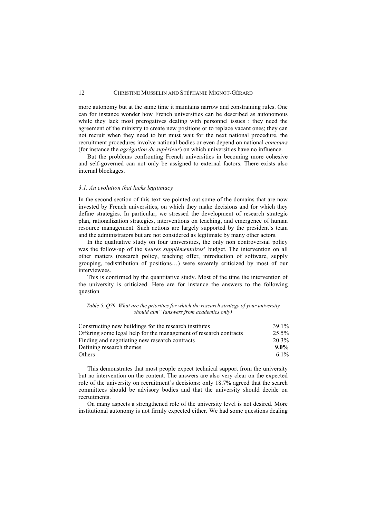more autonomy but at the same time it maintains narrow and constraining rules. One can for instance wonder how French universities can be described as autonomous while they lack most prerogatives dealing with personnel issues : they need the agreement of the ministry to create new positions or to replace vacant ones; they can not recruit when they need to but must wait for the next national procedure, the recruitment procedures involve national bodies or even depend on national *concours*  (for instance the *agrégation du supérieur*) on which universities have no influence.

But the problems confronting French universities in becoming more cohesive and self-governed can not only be assigned to external factors. There exists also internal blockages.

#### *3.1. An evolution that lacks legitimacy*

In the second section of this text we pointed out some of the domains that are now invested by French universities, on which they make decisions and for which they define strategies. In particular, we stressed the development of research strategic plan, rationalization strategies, interventions on teaching, and emergence of human resource management. Such actions are largely supported by the president's team and the administrators but are not considered as legitimate by many other actors.

In the qualitative study on four universities, the only non controversial policy was the follow-up of the *heures supplémentaires*' budget. The intervention on all other matters (research policy, teaching offer, introduction of software, supply grouping, redistribution of positions…) were severely criticized by most of our interviewees.

This is confirmed by the quantitative study. Most of the time the intervention of the university is criticized. Here are for instance the answers to the following question

| Table 5. 079. What are the priorities for which the research strategy of your university |  |
|------------------------------------------------------------------------------------------|--|
| should aim" (answers from academics only)                                                |  |

| 39 1%<br>Constructing new buildings for the research institutes            |
|----------------------------------------------------------------------------|
| Offering some legal help for the management of research contracts<br>25.5% |
| 20.3%<br>Finding and negotiating new research contracts                    |
| Defining research themes<br>$9.0\%$                                        |
| 6.1\%                                                                      |
|                                                                            |

This demonstrates that most people expect technical support from the university but no intervention on the content. The answers are also very clear on the expected role of the university on recruitment's decisions: only 18.7% agreed that the search committees should be advisory bodies and that the university should decide on recruitments.

On many aspects a strengthened role of the university level is not desired. More institutional autonomy is not firmly expected either. We had some questions dealing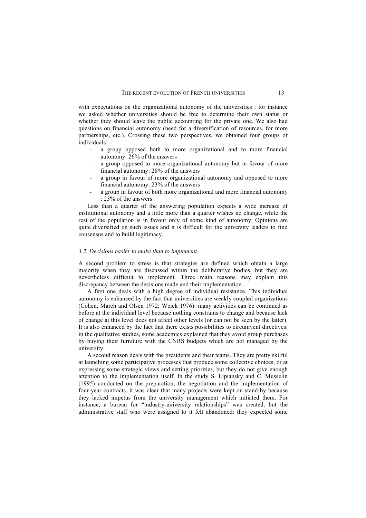with expectations on the organizational autonomy of the universities : for instance we asked whether universities should be free to determine their own status or whether they should leave the public accounting for the private one. We also had questions on financial autonomy (need for a diversification of resources, for more partnerships, etc.). Crossing these two perspectives, we obtained four groups of individuals:

- a group opposed both to more organizational and to more financial autonomy: 26% of the answers
- a group opposed to more organizational autonomy but in favour of more financial autonomy: 28% of the answers
- a group in favour of more organizational autonomy and opposed to more financial autonomy: 23% of the answers
- a group in favour of both more organizational and more financial autonomy : 23% of the answers

Less than a quarter of the answering population expects a wide increase of institutional autonomy and a little more than a quarter wishes no change, while the rest of the population is in favour only of some kind of autonomy. Opinions are quite diversified on such issues and it is difficult for the university leaders to find consensus and to build legitimacy.

#### *3.2. Decisions easier to make than to implement*

A second problem to stress is that strategies are defined which obtain a large majority when they are discussed within the deliberative bodies, but they are nevertheless difficult to implement. Three main reasons may explain this discrepancy between the decisions made and their implementation.

A first one deals with a high degree of individual resistance. This individual autonomy is enhanced by the fact that universities are weakly coupled organizations (Cohen, March and Olsen 1972; Weick 1976): many activities can be continued as before at the individual level because nothing constrains to change and because lack of change at this level does not affect other levels (or can not be seen by the latter). It is also enhanced by the fact that there exists possibilities to circumvent directives: in the qualitative studies, some academics explained that they avoid group purchases by buying their furniture with the CNRS budgets which are not managed by the university.

A second reason deals with the presidents and their teams. They are pretty skilful at launching some participative processes that produce some collective choices, or at expressing some strategic views and setting priorities, but they do not give enough attention to the implementation itself. In the study S. Lipiansky and C. Musselin (1995) conducted on the preparation, the negotiation and the implementation of four-year contracts, it was clear that many projects were kept on stand-by because they lacked impetus from the university management which initiated them. For instance, a bureau for "industry-university relationships" was created, but the administrative staff who were assigned to it felt abandoned: they expected some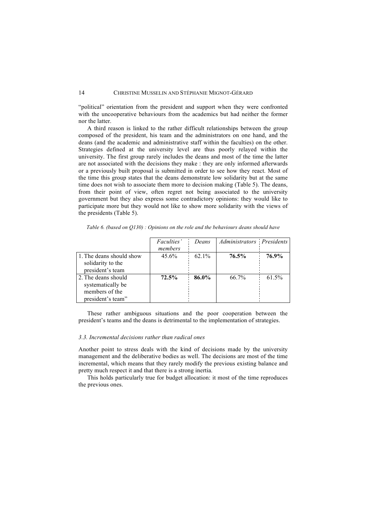"political" orientation from the president and support when they were confronted with the uncooperative behaviours from the academics but had neither the former nor the latter.

A third reason is linked to the rather difficult relationships between the group composed of the president, his team and the administrators on one hand, and the deans (and the academic and administrative staff within the faculties) on the other. Strategies defined at the university level are thus poorly relayed within the university. The first group rarely includes the deans and most of the time the latter are not associated with the decisions they make : they are only informed afterwards or a previously built proposal is submitted in order to see how they react. Most of the time this group states that the deans demonstrate low solidarity but at the same time does not wish to associate them more to decision making (Table 5). The deans, from their point of view, often regret not being associated to the university government but they also express some contradictory opinions: they would like to participate more but they would not like to show more solidarity with the views of the presidents (Table 5).

|                          | <i>Faculties'</i> | Deans    | Administrators Presidents |       |
|--------------------------|-------------------|----------|---------------------------|-------|
|                          | members           |          |                           |       |
| 1. The deans should show | $45.6\%$          | $62.1\%$ | 76.5%                     | 76.9% |
| solidarity to the        |                   |          |                           |       |
| president's team         |                   |          |                           |       |
| 2. The deans should      | 72.5%             | 86.0%    | 66.7%                     | 61.5% |
| systematically be        |                   |          |                           |       |
| members of the           |                   |          |                           |       |
| president's team"        |                   |          |                           |       |

*Table 6. (based on Q130) : Opinions on the role and the behaviours deans should have*

These rather ambiguous situations and the poor cooperation between the president's teams and the deans is detrimental to the implementation of strategies.

#### *3.3. Incremental decisions rather than radical ones*

Another point to stress deals with the kind of decisions made by the university management and the deliberative bodies as well. The decisions are most of the time incremental, which means that they rarely modify the previous existing balance and pretty much respect it and that there is a strong inertia.

This holds particularly true for budget allocation: it most of the time reproduces the previous ones.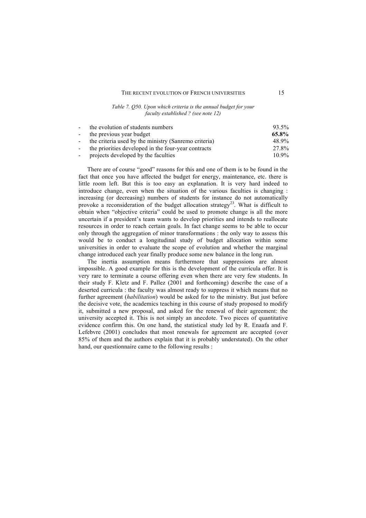#### THE RECENT EVOLUTION OF FRENCH UNIVERSITIES 15

#### *Table 7. Q50. Upon which criteria is the annual budget for your faculty established ? (see note 12)*

| $\sim 100$ | the evolution of students numbers                     | 93.5%    |
|------------|-------------------------------------------------------|----------|
|            | - the previous year budget                            | 65.8%    |
| $\sim 100$ | the criteria used by the ministry (Sanremo criteria)  | 48.9%    |
|            | - the priorities developed in the four-year contracts | 27.8%    |
| $\sim 100$ | projects developed by the faculties                   | $10.9\%$ |

There are of course "good" reasons for this and one of them is to be found in the fact that once you have affected the budget for energy, maintenance, etc. there is little room left. But this is too easy an explanation. It is very hard indeed to introduce change, even when the situation of the various faculties is changing : increasing (or decreasing) numbers of students for instance do not automatically provoke a reconsideration of the budget allocation strategy<sup>23</sup>. What is difficult to obtain when "objective criteria" could be used to promote change is all the more uncertain if a president's team wants to develop priorities and intends to reallocate resources in order to reach certain goals. In fact change seems to be able to occur only through the aggregation of minor transformations : the only way to assess this would be to conduct a longitudinal study of budget allocation within some universities in order to evaluate the scope of evolution and whether the marginal change introduced each year finally produce some new balance in the long run.

The inertia assumption means furthermore that suppressions are almost impossible. A good example for this is the development of the curricula offer. It is very rare to terminate a course offering even when there are very few students. In their study F. Kletz and F. Pallez (2001 and forthcoming) describe the case of a deserted curricula : the faculty was almost ready to suppress it which means that no further agreement (*habilitation*) would be asked for to the ministry. But just before the decisive vote, the academics teaching in this course of study proposed to modify it, submitted a new proposal, and asked for the renewal of their agreement: the university accepted it. This is not simply an anecdote. Two pieces of quantitative evidence confirm this. On one hand, the statistical study led by R. Enaafa and F. Lefebvre (2001) concludes that most renewals for agreement are accepted (over 85% of them and the authors explain that it is probably understated). On the other hand, our questionnaire came to the following results :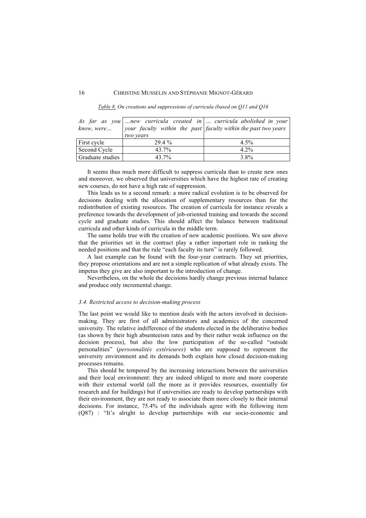| know, were       | two years | As far as you  new curricula created in  curricula abolished in your<br>your faculty within the past $ $ faculty within the past two years |
|------------------|-----------|--------------------------------------------------------------------------------------------------------------------------------------------|
| First cycle      | 29.4 %    | $4.5\%$                                                                                                                                    |
| Second Cycle     | 43.7%     | $4.2\%$                                                                                                                                    |
| Graduate studies | 43.7%     | 3.8%                                                                                                                                       |

*Table 8. On creations and suppressions of curricula (based on Q11 and Q16*

It seems thus much more difficult to suppress curricula than to create new ones and moreover, we observed that universities which have the highest rate of creating new courses, do not have a high rate of suppression.

This leads us to a second remark: a more radical evolution is to be observed for decisions dealing with the allocation of supplementary resources than for the redistribution of existing resources. The creation of curricula for instance reveals a preference towards the development of job-oriented training and towards the second cycle and graduate studies. This should affect the balance between traditional curricula and other kinds of curricula in the middle term.

The same holds true with the creation of new academic positions. We saw above that the priorities set in the contract play a rather important role in ranking the needed positions and that the rule "each faculty its turn" is rarely followed.

A last example can be found with the four-year contracts. They set priorities, they propose orientations and are not a simple replication of what already exists. The impetus they give are also important to the introduction of change.

Nevertheless, on the whole the decisions hardly change previous internal balance and produce only incremental change.

#### *3.4. Restricted access to decision-making process*

The last point we would like to mention deals with the actors involved in decisionmaking. They are first of all administrators and academics of the concerned university. The relative indifference of the students elected in the deliberative bodies (as shown by their high absenteeism rates and by their rather weak influence on the decision process), but also the low participation of the so-called "outside personalities" (*personnalités extérieures*) who are supposed to represent the university environment and its demands both explain how closed decision-making processes remains.

This should be tempered by the increasing interactions between the universities and their local environment: they are indeed obliged to more and more cooperate with their external world (all the more as it provides resources, essentially for research and for buildings) but if universities are ready to develop partnerships with their environment, they are not ready to associate them more closely to their internal decisions. For instance, 75.4% of the individuals agree with the following item (Q87) : "It's alright to develop partnerships with our socio-economic and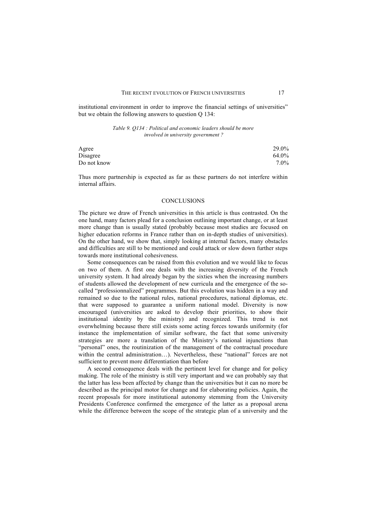institutional environment in order to improve the financial settings of universities" but we obtain the following answers to question Q 134:

> *Table 9. Q134 : Political and economic leaders should be more involved in university government ?*

| Agree       | 29.0% |
|-------------|-------|
| Disagree    | 64.0% |
| Do not know | 7.0%  |

Thus more partnership is expected as far as these partners do not interfere within internal affairs.

#### **CONCLUSIONS**

The picture we draw of French universities in this article is thus contrasted. On the one hand, many factors plead for a conclusion outlining important change, or at least more change than is usually stated (probably because most studies are focused on higher education reforms in France rather than on in-depth studies of universities). On the other hand, we show that, simply looking at internal factors, many obstacles and difficulties are still to be mentioned and could attack or slow down further steps towards more institutional cohesiveness.

Some consequences can be raised from this evolution and we would like to focus on two of them. A first one deals with the increasing diversity of the French university system. It had already began by the sixties when the increasing numbers of students allowed the development of new curricula and the emergence of the socalled "professionnalized" programmes. But this evolution was hidden in a way and remained so due to the national rules, national procedures, national diplomas, etc. that were supposed to guarantee a uniform national model. Diversity is now encouraged (universities are asked to develop their priorities, to show their institutional identity by the ministry) and recognized. This trend is not overwhelming because there still exists some acting forces towards uniformity (for instance the implementation of similar software, the fact that some university strategies are more a translation of the Ministry's national injunctions than "personal" ones, the routinization of the management of the contractual procedure within the central administration...). Nevertheless, these "national" forces are not sufficient to prevent more differentiation than before

A second consequence deals with the pertinent level for change and for policy making. The role of the ministry is still very important and we can probably say that the latter has less been affected by change than the universities but it can no more be described as the principal motor for change and for elaborating policies. Again, the recent proposals for more institutional autonomy stemming from the University Presidents Conference confirmed the emergence of the latter as a proposal arena while the difference between the scope of the strategic plan of a university and the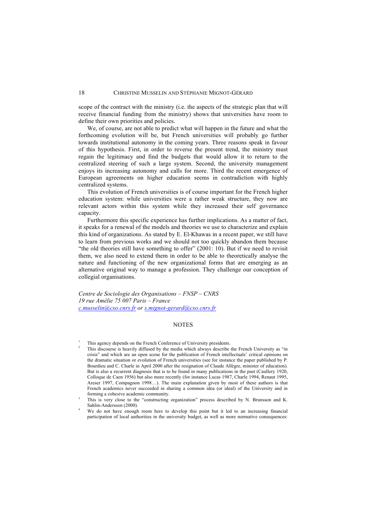scope of the contract with the ministry (i.e. the aspects of the strategic plan that will receive financial funding from the ministry) shows that universities have room to define their own priorities and policies.

We, of course, are not able to predict what will happen in the future and what the forthcoming evolution will be, but French universities will probably go further towards institutional autonomy in the coming years. Three reasons speak in favour of this hypothesis. First, in order to reverse the present trend, the ministry must regain the legitimacy and find the budgets that would allow it to return to the centralized steering of such a large system. Second, the university management enjoys its increasing autonomy and calls for more. Third the recent emergence of European agreements on higher education seems in contradiction with highly centralized systems.

This evolution of French universities is of course important for the French higher education system: while universities were a rather weak structure, they now are relevant actors within this system while they increased their self governance capacity.

Furthermore this specific experience has further implications. As a matter of fact, it speaks for a renewal of the models and theories we use to characterize and explain this kind of organizations. As stated by E. El-Khawas in a recent paper, we still have to learn from previous works and we should not too quickly abandon them because "the old theories still have something to offer" (2001: 10). But if we need to revisit them, we also need to extend them in order to be able to theoretically analyse the nature and functioning of the new organizational forms that are emerging as an alternative original way to manage a profession. They challenge our conception of collegial organisations.

*Centre de Sociologie des Organisations – FNSP – CNRS 19 rue Amélie 75 007 Paris – France c.musselin@cso.cnrs.fr or s.mignot-gerard@cso.cnrs.fr*

#### NOTES

This agency depends on the French Conference of University presidents.

<sup>2</sup> This discourse is heavily diffused by the media which always describe the French University as "in crisis" and which are an open scene for the publication of French intellectuals' critical opinions on the dramatic situation or evolution of French universities (see for instance the paper published by P. Bourdieu and C. Charle in April 2000 after the resignation of Claude Allègre, minister of education). But is also a recurrent diagnosis that is to be found in many publications in the past (Caullery 1920, Colloque de Caen 1956) but also more recently (for instance Lucas 1987, Charle 1994, Renaut 1995, Areser 1997, Compagnon 1998…). The main explanation given by most of these authors is that French academics never succeeded in sharing a common idea (or ideal) of the University and in forming a cohesive academic community.<br>
3 This is very close to the "constructing organization" process described by N. Brunsson and K.

Sahlin-Andersson (2000).

We do not have enough room here to develop this point but it led to an increasing financial participation of local authorities in the university budget, as well as more normative consequences: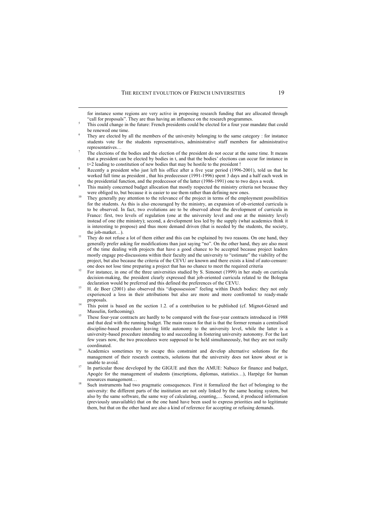l

- They are elected by all the members of the university belonging to the same category : for instance students vote for the students representatives, administrative staff members for administrative representatives…
- The elections of the bodies and the election of the president do not occur at the same time. It means that a president can be elected by bodies in t, and that the bodies' elections can occur for instance in t+2 leading to constitution of new bodies that may be hostile to the president !
- <sup>8</sup> Recently a president who just left his office after a five year period (1996-2001), told us that he worked full time as president , that his predecessor (1991-1996) spent 3 days and a half each week in
- the presidential function, and the predecessor of the latter (1986-1991) one to two days a week.<br>This mainly concerned budget allocation that mostly respected the ministry criteria not because they were obliged to, but because it is easier to use them rather than defining new ones.
- They generally pay attention to the relevance of the project in terms of the employment possibilities for the students. As this is also encouraged by the ministry, an expansion of ob-oriented curricula is to be observed. In fact, two evolutions are to be observed about the development of curricula in France: first, two levels of regulation (one at the university level and one at the ministry level) instead of one (the ministry); second, a development less led by the supply (what academics think it is interesting to propose) and thus more demand driven (that is needed by the students, the society, the job-matket...).<br>They do not refuse a lot of them either and this can be explained by two reasons. On one hand, they
- generally prefer asking for modifications than just saying "no". On the other hand, they are also most of the time dealing with projects that have a good chance to be accepted because project leaders mostly engage pre-discussions within their faculty and the university to "estimate" the viability of the project, but also because the criteria of the CEVU are known and there exists a kind of auto-censure: one does not lose time preparing a project that has no chance to meet the required criteria
- <sup>12</sup> For instance, in one of the three universities studied by S. Simonet (1999) in her study on curricula decision-making, the president clearly expressed that job-oriented curricula related to the Bologna declaration would be preferred and this defined the preferences of the CEVU.
- <sup>13</sup> H. de Boer (2001) also observed this "dispossession" feeling within Dutch bodies: they not only experienced a loss in their attributions but also are more and more confronted to ready-made proposals.
- This point is based on the section 1.2. of a contribution to be published (cf. Mignot-Gérard and Musselin, forthcoming).
- <sup>15</sup> These four-year contracts are hardly to be compared with the four-year contracts introduced in 1988 and that deal with the running budget. The main reason for that is that the former remain a centralised discipline-based procedure leaving little autonomy to the university level, while the latter is a university-based procedure intending to and succeeding in fostering university autonomy. For the last few years now, the two procedures were supposed to be held simultaneously, but they are not really coordinated.
- <sup>16</sup> Academics sometimes try to escape this constraint and develop alternative solutions for the management of their research contracts, solutions that the university does not know about or is
- unable to avoid.<br>In particular those developed by the GIGUE and then the AMUE: Nabuco for finance and budget, Apogée for the management of students (inscriptions, diplomas, statistics…), Harpège for human resources management…
- Such instruments had two pragmatic consequences. First it formalized the fact of belonging to the university: the different parts of the institution are not only linked by the same heating system, but also by the same software, the same way of calculating, counting,… Second, it produced information (previously unavailable) that on the one hand have been used to express priorities and to legitimate them, but that on the other hand are also a kind of reference for accepting or refusing demands.

for instance some regions are very active in proposing research funding that are allocated through "call for proposals". They are thus having an influence on the research programmes.

This could change in the future: French presidents could be elected for a four year mandate that could be renewed one time.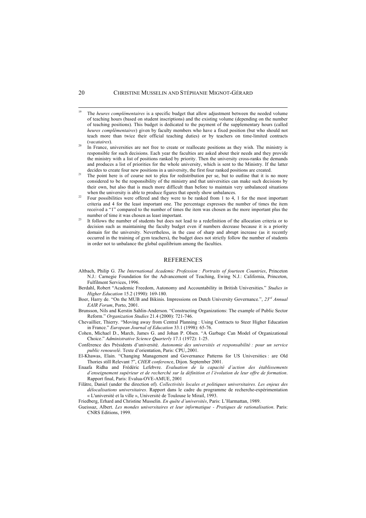- <sup>19</sup> The *heures complémentaires* is a specific budget that allow adjustment between the needed volume of teaching hours (based on student inscriptions) and the existing volume (depending on the number of teaching positions). This budget is dedicated to the payment of the supplementary hours (called *heures complémentaires*) given by faculty members who have a fixed position (but who should not teach more than twice their official teaching duties) or by teachers on time-limited contracts (*vacataires*).
- In France, universities are not free to create or reallocate positions as they wish. The ministry is responsible for such decisions. Each year the faculties are asked about their needs and they provide the ministry with a list of positions ranked by priority. Then the university cross-ranks the demands and produces a list of priorities for the whole university, which is sent to the Ministry. If the latter
- decides to create four new positions in a university, the first four ranked positions are created.<br>The point here is of course not to plea for redistribution per se, but to outline that it is no more considered to be the responsibility of the ministry and that universities can make such decisions by their own, but also that is much more difficult than before to maintain very unbalanced situations when the university is able to produce figures that openly show unbalances.
- Four possibilities were offered and they were to be ranked from 1 to 4, 1 for the most important criteria and 4 for the least important one. The percentage expresses the number of times the item received a "1" compared to the number of times the item was chosen as the more important plus the number of time it was chosen as least important.<br>It follows the number of students but does not lead to a redefinition of the allocation criteria or to
- decision such as maintaining the faculty budget even if numbers decrease because it is a priority domain for the university. Nevertheless, in the case of sharp and abrupt increase (as it recently occurred in the training of gym teachers), the budget does not strictly follow the number of students in order not to unbalance the global equilibrium among the faculties.

#### REFERENCES

- Altbach, Philip G. *The International Academic Profession : Portraits of fourteen Countries*, Princeton N.J.: Carnegie Foundation for the Advancement of Teaching, Ewing N.J.: California, Princeton, Fulfilment Services, 1996.
- Berdahl, Robert "Academic Freedom, Autonomy and Accountability in British Universities." *Studies in Higher Education* 15.2 (1990): 169-180.
- Boer, Harry de. "On the MUB and Bikinis. Impressions on Dutch University Governance.", *23rd Annual EAIR Forum*, Porto, 2001.
- Brunsson, Nils and Kerstin Sahlin-Anderson. "Constructing Organizations: The example of Public Sector Reform." *Organization Studies* 21.4 (2000): 721-746.
- Chevaillier, Thierry. "Moving away from Central Planning : Using Contracts to Steer Higher Education in France." *European Journal of Education* 33.1 (1998): 65-76.
- Cohen, Michael D., March, James G. and Johan P. Olsen. "A Garbage Can Model of Organizational Choice." *Administrative Science Quarterly* 17.1 (1972): 1-25.
- Conférence des Présidents d'université. *Autonomie des universités et responsabilité : pour un service public renouvelé*. Texte d'orientation, Paris: CPU,.2001.
- El-Khawas, Elain. "Changing Management and Governance Patterns for US Universities : are Old Thories still Relevant ?", *CHER conferenc*e, Dijon. September 2001.
- Enaafa Ridha and Frédéric Lefebvre. *Evaluation de la capacité d'action des établissements d'enseignement supérieur et de recherché sur la définition et l'évolution de leur offre de formation*. Rapport final, Paris: Evalua-OVE-AMUE, 2001
- Filâtre, Daniel (under the direction of). *Collectivités locales et politiques universitaires. Les enjeux des délocalisations universitaires*. Rapport dans le cadre du programme de recherche-expérimentation « L'université et la ville », Université de Toulouse le Mirail, 1993.
- Friedberg, Erhard and Christine Musselin. *En quête d'universités*, Paris: L'Harmattan, 1989.
- Gueissaz, Albert. *Les mondes universitaires et leur informatique - Pratiques de rationalisation*. Paris: CNRS Editions, 1999.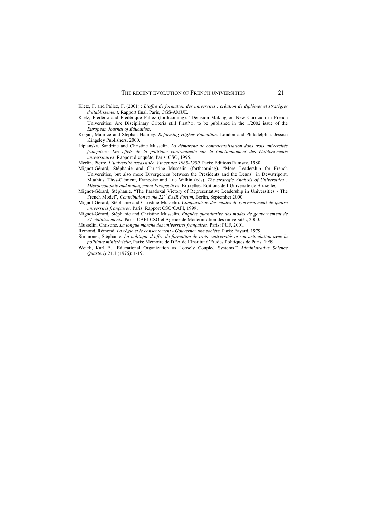- Kletz, F. and Pallez, F. (2001) : *L'offre de formation des universités : création de diplômes et stratégies d'établissement*, Rapport final, Paris, CGS-AMUE.
- Kletz, Frédéric and Frédérique Pallez (forthcoming). "Decision Making on New Curricula in French Universities: Are Disciplinary Criteria still First? », to be published in the 1/2002 issue of the *European Journal of Education*.
- Kogan, Maurice and Stephan Hanney. *Reforming Higher Education*. London and Philadelphia: Jessica Kingsley Publishers, 2000.
- Lipiansky, Sandrine and Christine Musselin. *La démarche de contractualisation dans trois universités françaises: Les effets de la politique contractuelle sur le fonctionnement des établissements universitaires*. Rapport d'enquête, Paris: CSO, 1995.

Merlin, Pierre. *L'université assassinée. Vincennes 1968-1980*. Paris: Editions Ramsay, 1980.

- Mignot-Gérard, Stéphanie and Christine Musselin (forthcoming). "More Leadership for French Universities, but also more Divergences between the Presidents and the Deans" in Dewatripont, M.athias, Thys-Clément, Françoise and Luc Wilkin (eds). *The strategic Analysis of Universities : Microeconomic and management Perspectives*, Bruxelles: Editions de l'Université de Bruxelles.
- Mignot-Gérard, Stéphanie. "The Paradoxal Victory of Representative Leadership in Universities The French Model", *Contribution to the 22<sup>nd</sup> EAIR Forum*, Berlin, September 2000.
- Mignot-Gérard, Stéphanie and Christine Musselin. *Comparaison des modes de gouvernement de quatre universités françaises*. Paris: Rapport CSO/CAFI, 1999.
- Mignot-Gérard, Stéphanie and Christine Musselin. *Enquête quantitative des modes de gouvernement de 37 établissements*. Paris: CAFI-CSO et Agence de Modernisation des universités, 2000.

Musselin, Christine. *La longue marche des universités françaises*. Paris: PUF, 2001.

Rémond, Rémond. *La règle et le consentement - Gouverner une société*. Paris: Fayard, 1979.

- Simmonet, Stéphanie. *La politique d'offre de formation de trois universités et son articulation avec la politique ministérielle*, Paris: Mémoire de DEA de l'Institut d'Etudes Politiques de Paris, 1999.
- Weick, Karl E. "Educational Organization as Loosely Coupled Systems." *Administrative Science Quarterly* 21.1 (1976): 1-19.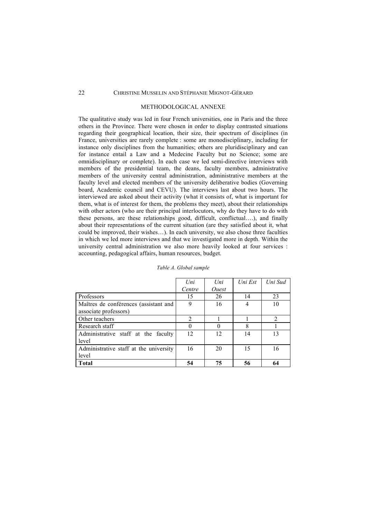#### METHODOLOGICAL ANNEXE

The qualitative study was led in four French universities, one in Paris and the three others in the Province. There were chosen in order to display contrasted situations regarding their geographical location, their size, their spectrum of disciplines (in France, universities are rarely complete : some are monodisciplinary, including for instance only disciplines from the humanities; others are pluridisciplinary and can for instance entail a Law and a Medecine Faculty but no Science; some are omnidisciplinary or complete). In each case we led semi-directive interviews with members of the presidential team, the deans, faculty members, administrative members of the university central administration, administrative members at the faculty level and elected members of the university deliberative bodies (Governing board, Academic council and CEVU). The interviews last about two hours. The interviewed are asked about their activity (what it consists of, what is important for them, what is of interest for them, the problems they meet), about their relationships with other actors (who are their principal interlocutors, why do they have to do with these persons, are these relationships good, difficult, conflictual….), and finally about their representations of the current situation (are they satisfied about it, what could be improved, their wishes…). In each university, we also chose three faculties in which we led more interviews and that we investigated more in depth. Within the university central administration we also more heavily looked at four services : accounting, pedagogical affairs, human resources, budget.

|                                        | Uni            | $_{Uni}$            | Uni Est | Uni Sud        |
|----------------------------------------|----------------|---------------------|---------|----------------|
|                                        | Centre         | <i><u>Ouest</u></i> |         |                |
| Professors                             | 15             | 26                  | 14      | 23             |
| Maîtres de conférences (assistant and  | 9              | 16                  |         | 10             |
| associate professors)                  |                |                     |         |                |
| Other teachers                         | $\overline{2}$ |                     |         | $\mathfrak{D}$ |
| Research staff                         | 0              | 0                   | 8       |                |
| Administrative staff at the faculty    | 12             | 12                  | 14      | 13             |
| level                                  |                |                     |         |                |
| Administrative staff at the university | 16             | 20                  | 15      | 16             |
| level                                  |                |                     |         |                |
| <b>Total</b>                           | 54             | 75                  | 56      | 64             |

#### *Table A. Global sample*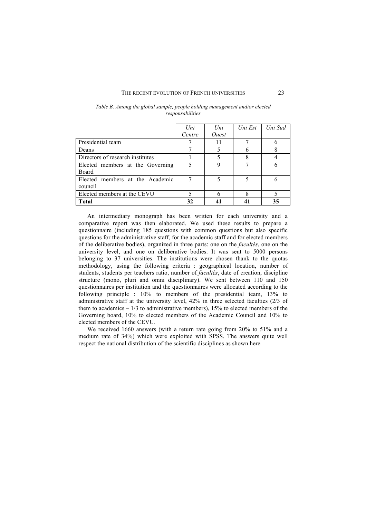#### THE RECENT EVOLUTION OF FRENCH UNIVERSITIES 23

|                                  | Uni    | Uni                 | Uni Est | Uni Sud |
|----------------------------------|--------|---------------------|---------|---------|
|                                  | Centre | <i><u>Ouest</u></i> |         |         |
| Presidential team                |        |                     |         | n       |
| Deans                            |        |                     |         |         |
| Directors of research institutes |        |                     |         |         |
| Elected members at the Governing |        | 9                   |         | 6       |
| Board                            |        |                     |         |         |
| Elected members at the Academic  |        | 5                   | 5       | 6       |
| council                          |        |                     |         |         |
| Elected members at the CEVU      |        |                     | 8       |         |
| <b>Total</b>                     | 32     |                     |         | 35      |

| Table B. Among the global sample, people holding management and/or elected |
|----------------------------------------------------------------------------|
|                                                                            |
| responsabilities                                                           |

An intermediary monograph has been written for each university and a comparative report was then elaborated. We used these results to prepare a questionnaire (including 185 questions with common questions but also specific questions for the administrative staff, for the academic staff and for elected members of the deliberative bodies), organized in three parts: one on the *facultés*, one on the university level, and one on deliberative bodies. It was sent to 5000 persons belonging to 37 universities. The institutions were chosen thank to the quotas methodology, using the following criteria : geographical location, number of students, students per teachers ratio, number of *facultés*, date of creation, discipline structure (mono, pluri and omni disciplinary). We sent between 110 and 150 questionnaires per institution and the questionnaires were allocated according to the following principle : 10% to members of the presidential team, 13% to administrative staff at the university level, 42% in three selected faculties (2/3 of them to academics – 1/3 to administrative members), 15% to elected members of the Governing board, 10% to elected members of the Academic Council and 10% to elected members of the CEVU.

We received 1660 answers (with a return rate going from 20% to 51% and a medium rate of 34%) which were exploited with SPSS. The answers quite well respect the national distribution of the scientific disciplines as shown here